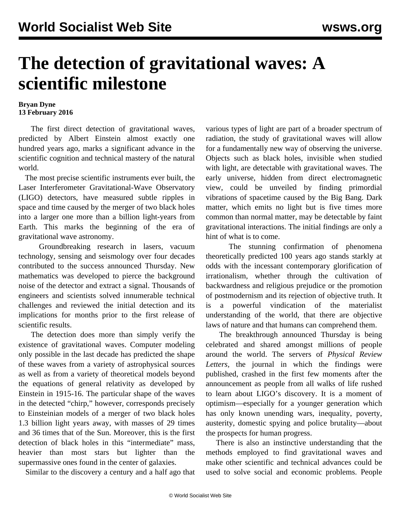## **The detection of gravitational waves: A scientific milestone**

## **Bryan Dyne 13 February 2016**

 The first direct detection of gravitational waves, predicted by Albert Einstein almost exactly one hundred years ago, marks a significant advance in the scientific cognition and technical mastery of the natural world.

 The most precise scientific instruments ever built, the Laser Interferometer Gravitational-Wave Observatory (LIGO) detectors, have measured subtle ripples in space and time caused by the merger of two black holes into a larger one more than a billion light-years from Earth. This marks the beginning of the era of gravitational wave astronomy.

 Groundbreaking research in lasers, vacuum technology, sensing and seismology over four decades contributed to the success announced Thursday. New mathematics was developed to pierce the background noise of the detector and extract a signal. Thousands of engineers and scientists solved innumerable technical challenges and reviewed the initial detection and its implications for months prior to the first release of scientific results.

 The detection does more than simply verify the existence of gravitational waves. Computer modeling only possible in the last decade has predicted the shape of these waves from a variety of astrophysical sources as well as from a variety of theoretical models beyond the equations of general relativity as developed by Einstein in 1915-16. The particular shape of the waves in the detected ["chirp](https://youtu.be/Zt8Z_uzG71o)," however, corresponds precisely to Einsteinian models of a merger of two black holes 1.3 billion light years away, with masses of 29 times and 36 times that of the Sun. Moreover, this is the first detection of black holes in this "intermediate" mass, heavier than most stars but lighter than the supermassive ones found in the center of galaxies.

Similar to the discovery a century and a half ago that

various types of light are part of a broader spectrum of radiation, the study of gravitational waves will allow for a fundamentally new way of observing the universe. Objects such as black holes, invisible when studied with light, are detectable with gravitational waves. The early universe, hidden from direct electromagnetic view, could be unveiled by finding primordial vibrations of spacetime caused by the Big Bang. Dark matter, which emits no light but is five times more common than normal matter, may be detectable by faint gravitational interactions. The initial findings are only a hint of what is to come.

 The stunning confirmation of phenomena theoretically predicted 100 years ago stands starkly at odds with the incessant contemporary glorification of irrationalism, whether through the cultivation of backwardness and religious prejudice or the promotion of postmodernism and its rejection of objective truth. It is a powerful vindication of the materialist understanding of the world, that there are objective laws of nature and that humans can comprehend them.

 The breakthrough announced Thursday is being celebrated and shared amongst millions of people around the world. The servers of *Physical Review Letters,* the journal in which the findings were published, crashed in the first few moments after the announcement as people from all walks of life rushed to learn about LIGO's discovery. It is a moment of optimism—especially for a younger generation which has only known unending wars, inequality, poverty, austerity, domestic spying and police brutality—about the prospects for human progress.

 There is also an instinctive understanding that the methods employed to find gravitational waves and make other scientific and technical advances could be used to solve social and economic problems. People